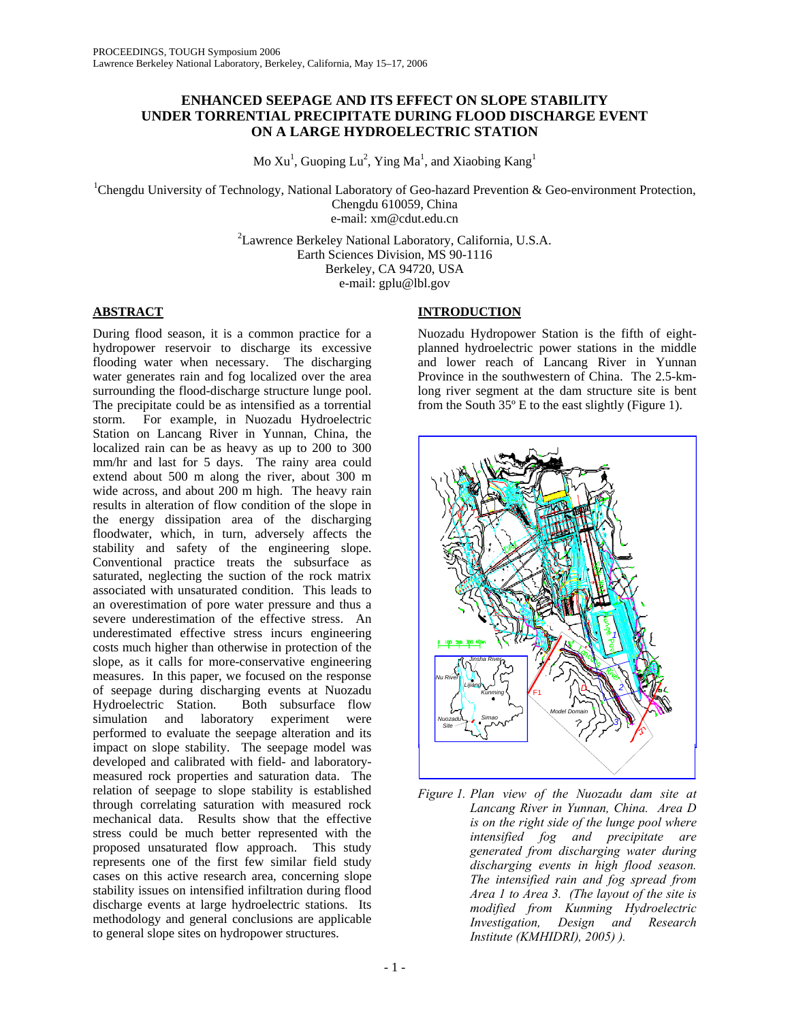## **ENHANCED SEEPAGE AND ITS EFFECT ON SLOPE STABILITY UNDER TORRENTIAL PRECIPITATE DURING FLOOD DISCHARGE EVENT ON A LARGE HYDROELECTRIC STATION**

Mo  $Xu<sup>1</sup>$ , Guoping Lu<sup>2</sup>, Ying Ma<sup>1</sup>, and Xiaobing Kang<sup>1</sup>

<sup>1</sup>Chengdu University of Technology, National Laboratory of Geo-hazard Prevention & Geo-environment Protection, Chengdu 610059, China e-mail: xm@cdut.edu.cn

> <sup>2</sup> Lawrence Berkeley National Laboratory, California, U.S.A. Earth Sciences Division, MS 90-1116 Berkeley, CA 94720, USA e-mail: gplu@lbl.gov

# **ABSTRACT**

During flood season, it is a common practice for a hydropower reservoir to discharge its excessive flooding water when necessary. The discharging water generates rain and fog localized over the area surrounding the flood-discharge structure lunge pool. The precipitate could be as intensified as a torrential storm. For example, in Nuozadu Hydroelectric Station on Lancang River in Yunnan, China, the localized rain can be as heavy as up to 200 to 300 mm/hr and last for 5 days. The rainy area could extend about 500 m along the river, about 300 m wide across, and about 200 m high. The heavy rain results in alteration of flow condition of the slope in the energy dissipation area of the discharging floodwater, which, in turn, adversely affects the stability and safety of the engineering slope. Conventional practice treats the subsurface as saturated, neglecting the suction of the rock matrix associated with unsaturated condition. This leads to an overestimation of pore water pressure and thus a severe underestimation of the effective stress. An underestimated effective stress incurs engineering costs much higher than otherwise in protection of the slope, as it calls for more-conservative engineering measures. In this paper, we focused on the response of seepage during discharging events at Nuozadu Hydroelectric Station. Both subsurface flow simulation and laboratory experiment were performed to evaluate the seepage alteration and its impact on slope stability. The seepage model was developed and calibrated with field- and laboratorymeasured rock properties and saturation data. The relation of seepage to slope stability is established through correlating saturation with measured rock mechanical data. Results show that the effective stress could be much better represented with the proposed unsaturated flow approach. This study represents one of the first few similar field study cases on this active research area, concerning slope stability issues on intensified infiltration during flood discharge events at large hydroelectric stations. Its methodology and general conclusions are applicable to general slope sites on hydropower structures.

# **INTRODUCTION**

Nuozadu Hydropower Station is the fifth of eightplanned hydroelectric power stations in the middle and lower reach of Lancang River in Yunnan Province in the southwestern of China. The 2.5-kmlong river segment at the dam structure site is bent from the South 35º E to the east slightly (Figure 1).



*Figure 1. Plan view of the Nuozadu dam site at Lancang River in Yunnan, China. Area D is on the right side of the lunge pool where intensified fog and precipitate are generated from discharging water during discharging events in high flood season. The intensified rain and fog spread from Area 1 to Area 3. (The layout of the site is modified from Kunming Hydroelectric Investigation, Design and Research Institute (KMHIDRI), 2005) ).*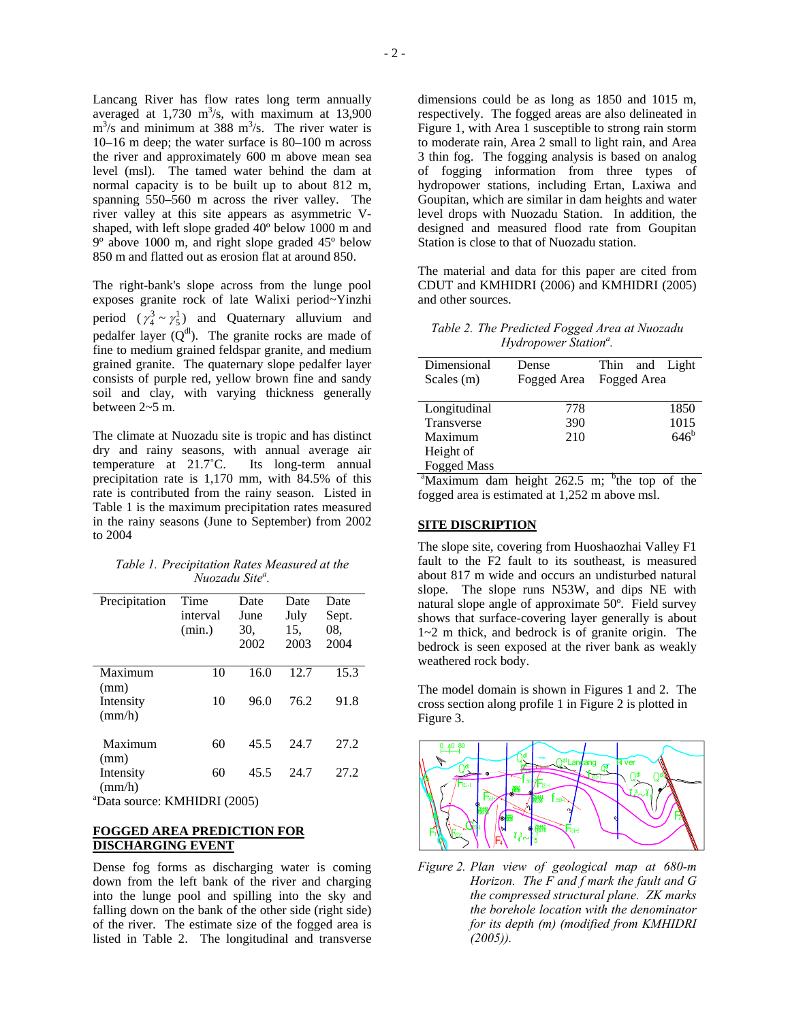Lancang River has flow rates long term annually averaged at  $1,730 \text{ m}^3\text{/s}$ , with maximum at  $13,900$  $\text{m}^3$ /s and minimum at 388 m<sup>3</sup>/s. The river water is 10–16 m deep; the water surface is 80–100 m across the river and approximately 600 m above mean sea level (msl). The tamed water behind the dam at normal capacity is to be built up to about 812 m, spanning 550–560 m across the river valley. The river valley at this site appears as asymmetric Vshaped, with left slope graded 40º below 1000 m and 9º above 1000 m, and right slope graded 45º below 850 m and flatted out as erosion flat at around 850.

The right-bank's slope across from the lunge pool exposes granite rock of late Walixi period~Yinzhi period  $(\gamma_4^3 \sim \gamma_5^1)$  and Quaternary alluvium and pedalfer layer  $(Q<sup>dl</sup>)$ . The granite rocks are made of fine to medium grained feldspar granite, and medium grained granite. The quaternary slope pedalfer layer consists of purple red, yellow brown fine and sandy soil and clay, with varying thickness generally between 2~5 m.

The climate at Nuozadu site is tropic and has distinct dry and rainy seasons, with annual average air temperature at 21.7˚C. Its long-term annual precipitation rate is 1,170 mm, with 84.5% of this rate is contributed from the rainy season. Listed in Table 1 is the maximum precipitation rates measured in the rainy seasons (June to September) from 2002 to 2004

|                             | Table 1. Precipitation Rates Measured at the |  |
|-----------------------------|----------------------------------------------|--|
| Nuozadu Site <sup>a</sup> . |                                              |  |

| Precipitation                | Time<br>interval<br>(min.) | Date<br>June<br>30,<br>2002 | Date<br>July<br>15,<br>2003 | Date<br>Sept.<br>08.<br>2004 |
|------------------------------|----------------------------|-----------------------------|-----------------------------|------------------------------|
|                              |                            |                             |                             |                              |
| Maximum                      | 10                         | 16.0                        | 12.7                        | 15.3                         |
| (mm)                         |                            |                             |                             |                              |
| Intensity                    | 10                         | 96.0                        | 76.2                        | 91.8                         |
| (mm/h)                       |                            |                             |                             |                              |
| Maximum                      | 60                         | 45.5                        | 24.7                        | 27.2                         |
| (mm)                         |                            |                             |                             |                              |
| Intensity                    | 60                         | 45.5                        | 24.7                        | 27.2                         |
| (mm/h)                       |                            |                             |                             |                              |
| "Data source: KMHIDRI (2005) |                            |                             |                             |                              |

## **FOGGED AREA PREDICTION FOR DISCHARGING EVENT**

Dense fog forms as discharging water is coming down from the left bank of the river and charging into the lunge pool and spilling into the sky and falling down on the bank of the other side (right side) of the river. The estimate size of the fogged area is listed in Table 2. The longitudinal and transverse

dimensions could be as long as 1850 and 1015 m, respectively. The fogged areas are also delineated in Figure 1, with Area 1 susceptible to strong rain storm to moderate rain, Area 2 small to light rain, and Area 3 thin fog. The fogging analysis is based on analog of fogging information from three types of hydropower stations, including Ertan, Laxiwa and Goupitan, which are similar in dam heights and water level drops with Nuozadu Station. In addition, the designed and measured flood rate from Goupitan Station is close to that of Nuozadu station.

The material and data for this paper are cited from CDUT and KMHIDRI (2006) and KMHIDRI (2005) and other sources.

*Table 2. The Predicted Fogged Area at Nuozadu* Hydropower Station<sup>a</sup>.

| Dimensional<br>Scales $(m)$ | Dense<br>Fogged Area | and Light<br>Thin<br>Fogged Area |
|-----------------------------|----------------------|----------------------------------|
| Longitudinal                | 778                  | 1850                             |
| Transverse                  | 390                  | 1015                             |
| Maximum                     | 210                  | $646^{\rm b}$                    |
| Height of                   |                      |                                  |
| <b>Fogged Mass</b>          |                      |                                  |
| $9 - 1$                     | .                    | <b>h</b> -                       |

 $\alpha$ <sup>a</sup>Maximum dam height 262.5 m; <sup>b</sup> the top of the fogged area is estimated at 1,252 m above msl.

## **SITE DISCRIPTION**

The slope site, covering from Huoshaozhai Valley F1 fault to the F2 fault to its southeast, is measured about 817 m wide and occurs an undisturbed natural slope. The slope runs N53W, and dips NE with natural slope angle of approximate 50º. Field survey shows that surface-covering layer generally is about 1~2 m thick, and bedrock is of granite origin. The bedrock is seen exposed at the river bank as weakly weathered rock body.

The model domain is shown in Figures 1 and 2. The cross section along profile 1 in Figure 2 is plotted in Figure 3.



*Figure 2. Plan view of geological map at 680-m Horizon. The F and f mark the fault and G the compressed structural plane. ZK marks the borehole location with the denominator for its depth (m) (modified from KMHIDRI (2005)).*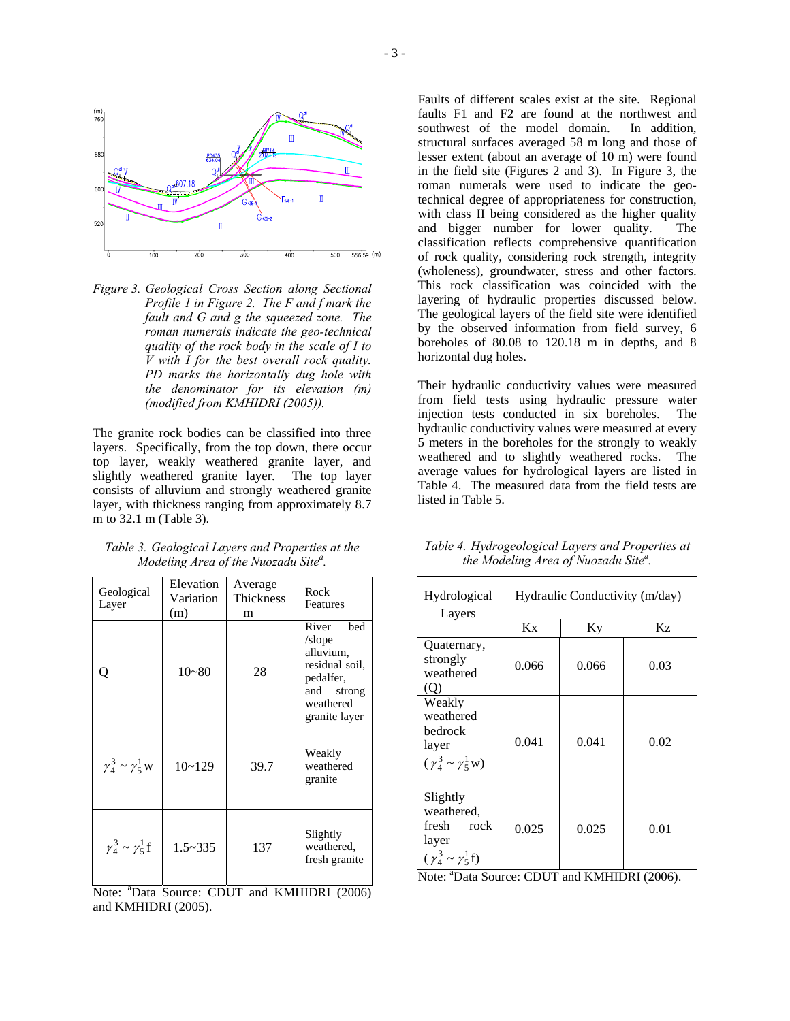

*Figure 3. Geological Cross Section along Sectional Profile 1 in Figure 2. The F and f mark the fault and G and g the squeezed zone. The roman numerals indicate the geo-technical quality of the rock body in the scale of I to V with I for the best overall rock quality. PD marks the horizontally dug hole with the denominator for its elevation (m) (modified from KMHIDRI (2005)).* 

The granite rock bodies can be classified into three layers. Specifically, from the top down, there occur top layer, weakly weathered granite layer, and slightly weathered granite layer. The top layer consists of alluvium and strongly weathered granite layer, with thickness ranging from approximately 8.7 m to 32.1 m (Table 3).

| Table 3. Geological Layers and Properties at the |  |
|--------------------------------------------------|--|
| Modeling Area of the Nuozadu Site".              |  |

| Geological<br>Layer            | Elevation<br>Variation<br>(m) | Average<br>Thickness<br>m | Rock<br>Features                                                                                                  |
|--------------------------------|-------------------------------|---------------------------|-------------------------------------------------------------------------------------------------------------------|
| Ő                              | $10 - 80$                     | 28                        | River<br>bed<br>/slope<br>alluvium,<br>residual soil,<br>pedalfer,<br>and<br>strong<br>weathered<br>granite layer |
| $\gamma_4^3 \sim \gamma_5^1$ W | $10 - 129$                    | 39.7                      | Weakly<br>weathered<br>granite                                                                                    |
| $\gamma_4^3 \sim \gamma_5^1 f$ | $1.5 - 335$                   | 137                       | Slightly<br>weathered,<br>fresh granite                                                                           |

Note: <sup>a</sup>Data Source: CDUT and KMHIDRI (2006) and KMHIDRI (2005).

Faults of different scales exist at the site. Regional faults F1 and F2 are found at the northwest and southwest of the model domain. In addition, structural surfaces averaged 58 m long and those of lesser extent (about an average of 10 m) were found in the field site (Figures 2 and 3). In Figure 3, the roman numerals were used to indicate the geotechnical degree of appropriateness for construction, with class II being considered as the higher quality and bigger number for lower quality. The classification reflects comprehensive quantification of rock quality, considering rock strength, integrity (wholeness), groundwater, stress and other factors. This rock classification was coincided with the layering of hydraulic properties discussed below. The geological layers of the field site were identified by the observed information from field survey, 6 boreholes of 80.08 to 120.18 m in depths, and 8 horizontal dug holes.

Their hydraulic conductivity values were measured from field tests using hydraulic pressure water injection tests conducted in six boreholes. The hydraulic conductivity values were measured at every 5 meters in the boreholes for the strongly to weakly weathered and to slightly weathered rocks. The average values for hydrological layers are listed in Table 4. The measured data from the field tests are listed in Table 5.

| Hydrological<br>Layers                                                               | Hydraulic Conductivity (m/day) |       |      |  |
|--------------------------------------------------------------------------------------|--------------------------------|-------|------|--|
|                                                                                      | Kx                             | Ky    | Kz   |  |
| Quaternary,<br>strongly<br>weathered<br>(Q)                                          | 0.066                          | 0.066 | 0.03 |  |
| Weakly<br>weathered<br>bedrock<br>layer<br>$(\gamma_4^3 \sim \gamma_5^1 w)$          | 0.041                          | 0.041 | 0.02 |  |
| Slightly<br>weathered,<br>fresh<br>rock<br>layer<br>$(\gamma_4^3 \sim \gamma_5^1 f)$ | 0.025                          | 0.025 | 0.01 |  |

*Table 4. Hydrogeological Layers and Properties at the Modeling Area of Nuozadu Site a .* 

Note: <sup>a</sup>Data Source: CDUT and KMHIDRI (2006).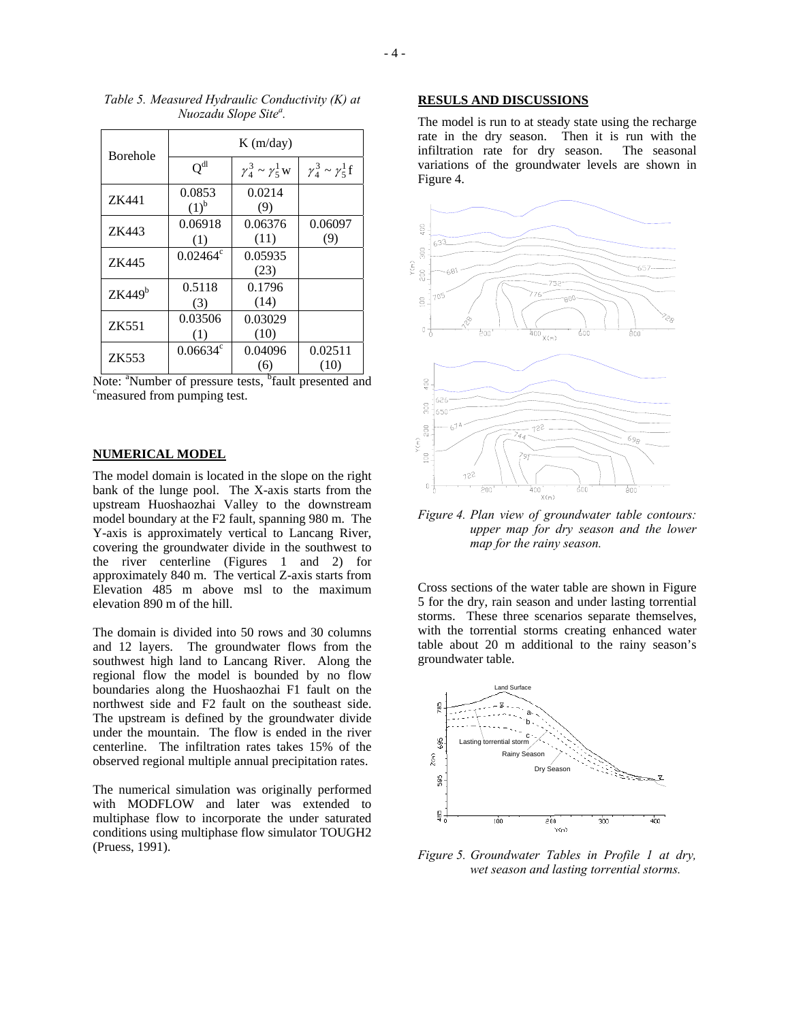| <b>Borehole</b> | $K$ (m/day)         |                                |                                |  |
|-----------------|---------------------|--------------------------------|--------------------------------|--|
|                 | $Q^{dl}$            | $\gamma_4^3 \sim \gamma_5^1$ W | $\gamma_4^3 \sim \gamma_5^1 f$ |  |
| ZK441           | 0.0853<br>$(1)^{b}$ | 0.0214<br>(9)                  |                                |  |
| ZK443           | 0.06918<br>(1)      | 0.06376<br>(11)                | 0.06097<br>(9)                 |  |
| ZK445           | $0.02464^{\circ}$   | 0.05935<br>(23)                |                                |  |
| $ZK449^b$       | 0.5118<br>(3)       | 0.1796<br>(14)                 |                                |  |
| ZK551           | 0.03506<br>(1)      | 0.03029<br>(10)                |                                |  |
| ZK553           | $0.06634^{\circ}$   | 0.04096<br>(6)                 | 0.02511<br>(10)                |  |

*Table 5. Measured Hydraulic Conductivity (K) at Nuozadu Slope Site a .* 

Note: <sup>a</sup>Number of pressure tests, <sup>b</sup>fault presented and container tests of the state of the container test. <sup>c</sup> measured from pumping test.

#### **NUMERICAL MODEL**

The model domain is located in the slope on the right bank of the lunge pool. The X-axis starts from the upstream Huoshaozhai Valley to the downstream model boundary at the F2 fault, spanning 980 m. The Y-axis is approximately vertical to Lancang River, covering the groundwater divide in the southwest to the river centerline (Figures 1 and 2) for approximately 840 m. The vertical Z-axis starts from Elevation 485 m above msl to the maximum elevation 890 m of the hill.

The domain is divided into 50 rows and 30 columns and 12 layers. The groundwater flows from the southwest high land to Lancang River. Along the regional flow the model is bounded by no flow boundaries along the Huoshaozhai F1 fault on the northwest side and F2 fault on the southeast side. The upstream is defined by the groundwater divide under the mountain. The flow is ended in the river centerline. The infiltration rates takes 15% of the observed regional multiple annual precipitation rates.

The numerical simulation was originally performed with MODFLOW and later was extended to multiphase flow to incorporate the under saturated conditions using multiphase flow simulator TOUGH2 (Pruess, 1991).

### **RESULS AND DISCUSSIONS**

The model is run to at steady state using the recharge rate in the dry season. Then it is run with the infiltration rate for dry season. The seasonal variations of the groundwater levels are shown in Figure 4.



*Figure 4. Plan view of groundwater table contours: upper map for dry season and the lower map for the rainy season.* 

Cross sections of the water table are shown in Figure 5 for the dry, rain season and under lasting torrential storms. These three scenarios separate themselves, with the torrential storms creating enhanced water table about 20 m additional to the rainy season's groundwater table.



*Figure 5. Groundwater Tables in Profile 1 at dry, wet season and lasting torrential storms.*